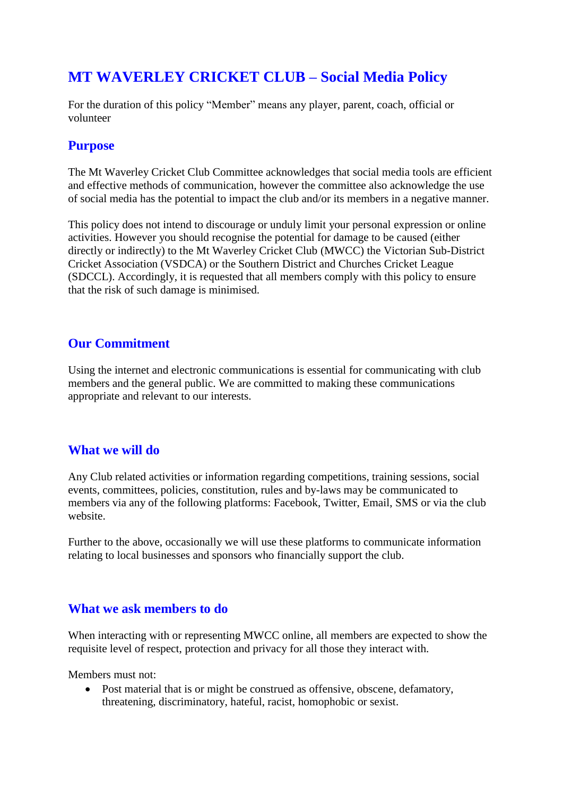# **MT WAVERLEY CRICKET CLUB – Social Media Policy**

For the duration of this policy "Member" means any player, parent, coach, official or volunteer

### **Purpose**

The Mt Waverley Cricket Club Committee acknowledges that social media tools are efficient and effective methods of communication, however the committee also acknowledge the use of social media has the potential to impact the club and/or its members in a negative manner.

This policy does not intend to discourage or unduly limit your personal expression or online activities. However you should recognise the potential for damage to be caused (either directly or indirectly) to the Mt Waverley Cricket Club (MWCC) the Victorian Sub-District Cricket Association (VSDCA) or the Southern District and Churches Cricket League (SDCCL). Accordingly, it is requested that all members comply with this policy to ensure that the risk of such damage is minimised.

#### **Our Commitment**

Using the internet and electronic communications is essential for communicating with club members and the general public. We are committed to making these communications appropriate and relevant to our interests.

## **What we will do**

Any Club related activities or information regarding competitions, training sessions, social events, committees, policies, constitution, rules and by-laws may be communicated to members via any of the following platforms: Facebook, Twitter, Email, SMS or via the club website.

Further to the above, occasionally we will use these platforms to communicate information relating to local businesses and sponsors who financially support the club.

#### **What we ask members to do**

When interacting with or representing MWCC online, all members are expected to show the requisite level of respect, protection and privacy for all those they interact with.

Members must not:

• Post material that is or might be construed as offensive, obscene, defamatory, threatening, discriminatory, hateful, racist, homophobic or sexist.